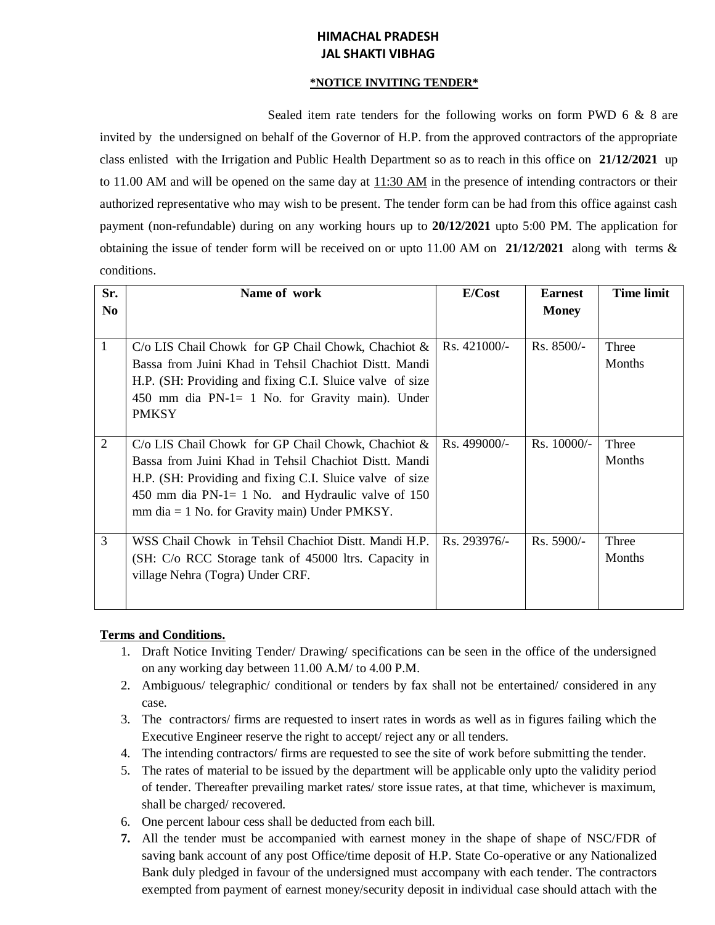# **HIMACHAL PRADESH JAL SHAKTI VIBHAG**

### **\*NOTICE INVITING TENDER\***

Sealed item rate tenders for the following works on form PWD 6 & 8 are invited by the undersigned on behalf of the Governor of H.P. from the approved contractors of the appropriate class enlisted with the Irrigation and Public Health Department so as to reach in this office on **21/12/2021** up to 11.00 AM and will be opened on the same day at  $11:30$  AM in the presence of intending contractors or their authorized representative who may wish to be present. The tender form can be had from this office against cash payment (non-refundable) during on any working hours up to **20/12/2021** upto 5:00 PM. The application for obtaining the issue of tender form will be received on or upto 11.00 AM on **21/12/2021** along with terms & conditions.

| Sr.            | Name of work                                             | E/Cost        | <b>Earnest</b> | <b>Time limit</b> |
|----------------|----------------------------------------------------------|---------------|----------------|-------------------|
| N <sub>0</sub> |                                                          |               | <b>Money</b>   |                   |
|                |                                                          |               |                |                   |
| 1              | $C/O$ LIS Chail Chowk for GP Chail Chowk, Chachiot $&$   | $Rs.421000/-$ | $Rs. 8500/-$   | Three             |
|                | Bassa from Juini Khad in Tehsil Chachiot Distt. Mandi    |               |                | Months            |
|                | H.P. (SH: Providing and fixing C.I. Sluice valve of size |               |                |                   |
|                | 450 mm dia $PN-1=1$ No. for Gravity main). Under         |               |                |                   |
|                | <b>PMKSY</b>                                             |               |                |                   |
|                |                                                          |               |                |                   |
| $\overline{2}$ | $C/O$ LIS Chail Chowk for GP Chail Chowk, Chachiot &     | Rs. 499000/-  | $Rs. 10000/-$  | Three             |
|                | Bassa from Juini Khad in Tehsil Chachiot Distt. Mandi    |               |                | <b>Months</b>     |
|                | H.P. (SH: Providing and fixing C.I. Sluice valve of size |               |                |                   |
|                | 450 mm dia PN-1= 1 No. and Hydraulic valve of $150$      |               |                |                   |
|                | $mm$ dia = 1 No. for Gravity main) Under PMKSY.          |               |                |                   |
|                |                                                          |               |                |                   |
| 3              | WSS Chail Chowk in Tehsil Chachiot Distt. Mandi H.P.     | Rs. 293976/-  | $Rs. 5900/-$   | Three             |
|                | (SH: C/o RCC Storage tank of 45000 ltrs. Capacity in     |               |                | Months            |
|                | village Nehra (Togra) Under CRF.                         |               |                |                   |
|                |                                                          |               |                |                   |
|                |                                                          |               |                |                   |

## **Terms and Conditions.**

- 1. Draft Notice Inviting Tender/ Drawing/ specifications can be seen in the office of the undersigned on any working day between 11.00 A.M/ to 4.00 P.M.
- 2. Ambiguous/ telegraphic/ conditional or tenders by fax shall not be entertained/ considered in any case.
- 3. The contractors/ firms are requested to insert rates in words as well as in figures failing which the Executive Engineer reserve the right to accept/ reject any or all tenders.
- 4. The intending contractors/ firms are requested to see the site of work before submitting the tender.
- 5. The rates of material to be issued by the department will be applicable only upto the validity period of tender. Thereafter prevailing market rates/ store issue rates, at that time, whichever is maximum, shall be charged/ recovered.
- 6. One percent labour cess shall be deducted from each bill.
- **7.** All the tender must be accompanied with earnest money in the shape of shape of NSC/FDR of saving bank account of any post Office/time deposit of H.P. State Co-operative or any Nationalized Bank duly pledged in favour of the undersigned must accompany with each tender. The contractors exempted from payment of earnest money/security deposit in individual case should attach with the